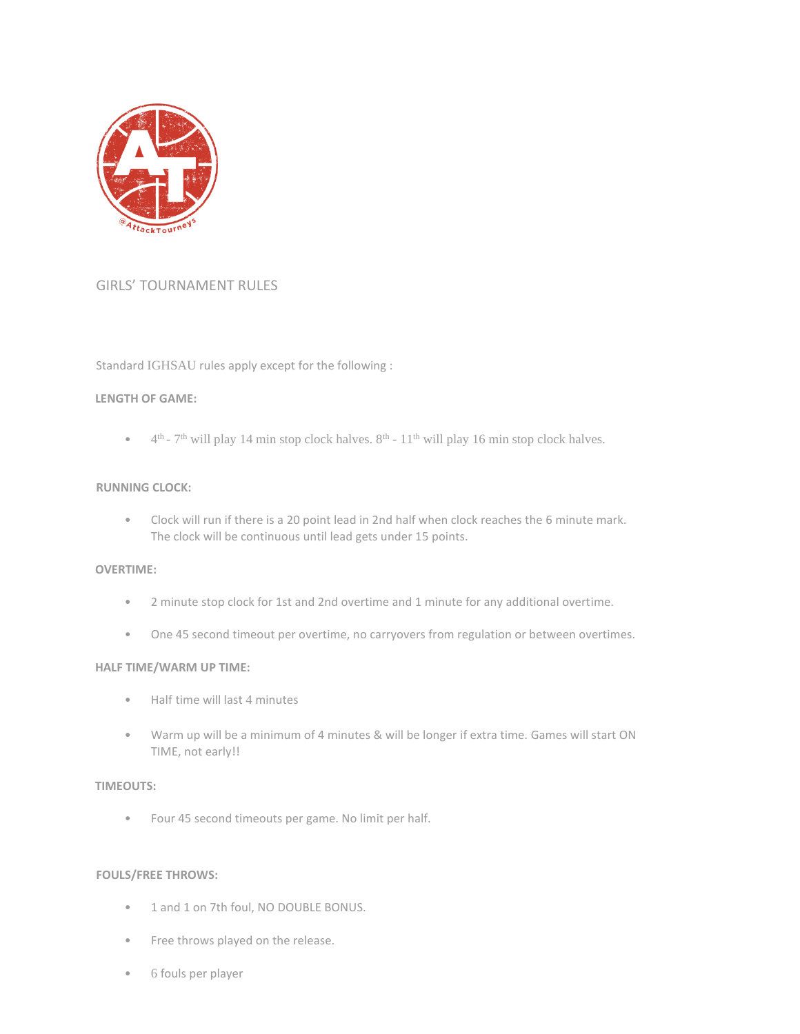

### GIRLS' TOURNAMENT RULES

### Standard IGHSAU rules apply except for the following :

#### **LENGTH OF GAME:**

 $\bullet$  4<sup>th</sup> - 7<sup>th</sup> will play 14 min stop clock halves. 8<sup>th</sup> - 11<sup>th</sup> will play 16 min stop clock halves.

#### **RUNNING CLOCK:**

• Clock will run if there is a 20 point lead in 2nd half when clock reaches the 6 minute mark. The clock will be continuous until lead gets under 15 points.

#### **OVERTIME:**

- 2 minute stop clock for 1st and 2nd overtime and 1 minute for any additional overtime.
- One 45 second timeout per overtime, no carryovers from regulation or between overtimes.

### **HALF TIME/WARM UP TIME:**

- Half time will last 4 minutes
- Warm up will be a minimum of 4 minutes & will be longer if extra time. Games will start ON TIME, not early!!

#### **TIMEOUTS:**

• Four 45 second timeouts per game. No limit per half.

#### **FOULS/FREE THROWS:**

- 1 and 1 on 7th foul, NO DOUBLE BONUS.
- Free throws played on the release.
- 6 fouls per player